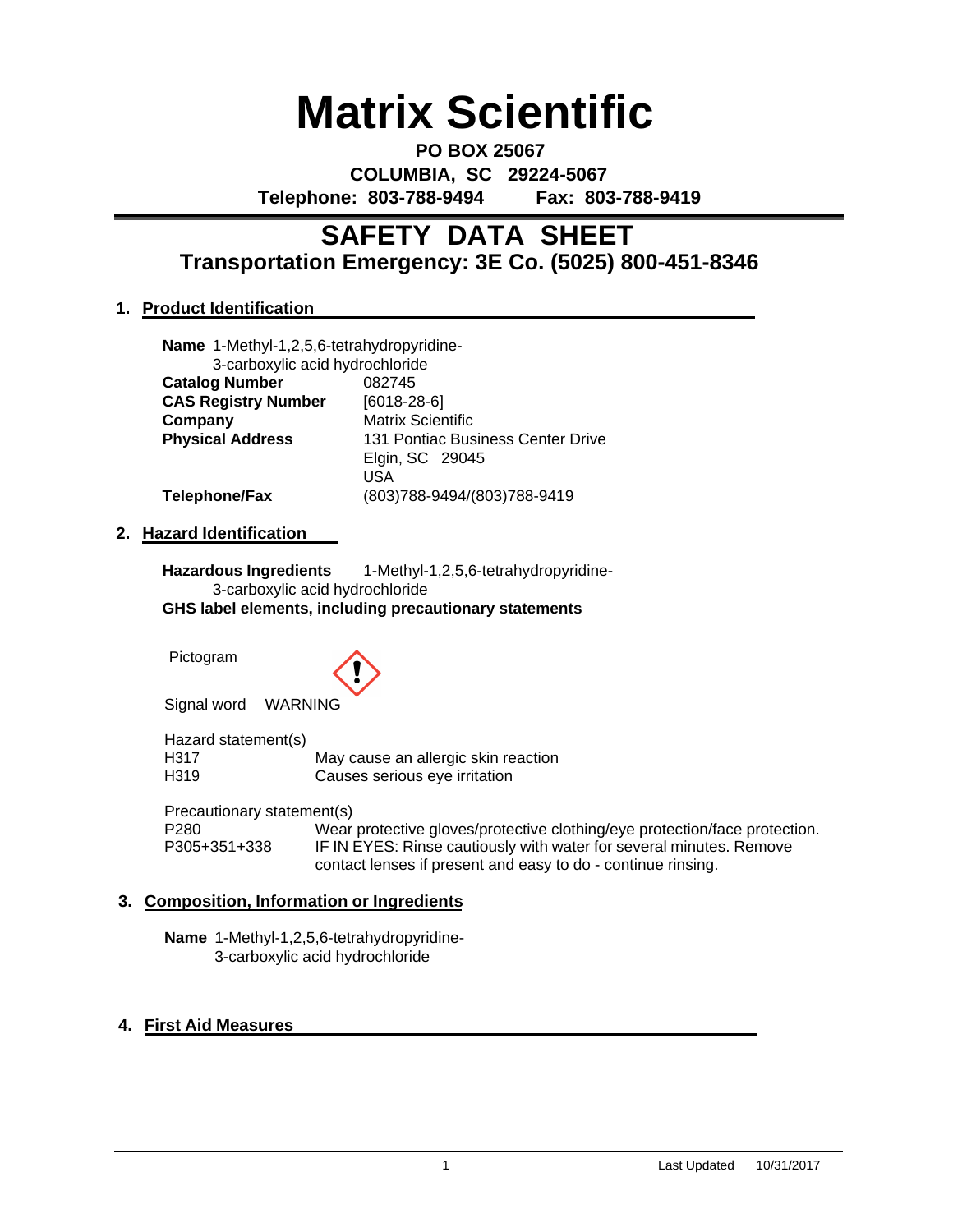# **Matrix Scientific**

**PO BOX 25067 COLUMBIA, SC 29224-5067 Telephone: 803-788-9494 Fax: 803-788-9419**

# **Transportation Emergency: 3E Co. (5025) 800-451-8346 SAFETY DATA SHEET**

# **1. Product Identification**

| Name 1-Methyl-1,2,5,6-tetrahydropyridine- |                                   |
|-------------------------------------------|-----------------------------------|
| 3-carboxylic acid hydrochloride           |                                   |
| <b>Catalog Number</b>                     | 082745                            |
| <b>CAS Registry Number</b>                | $[6018-28-6]$                     |
| Company                                   | <b>Matrix Scientific</b>          |
| <b>Physical Address</b>                   | 131 Pontiac Business Center Drive |
|                                           | Elgin, SC 29045                   |
|                                           | USA                               |
| <b>Telephone/Fax</b>                      | (803)788-9494/(803)788-9419       |

## **2. Hazard Identification**

**Hazardous Ingredients** 1-Methyl-1,2,5,6-tetrahydropyridine-3-carboxylic acid hydrochloride **GHS label elements, including precautionary statements**

Pictogram



Signal word WARNING

Hazard statement(s)<br>H317 May cause an allergic skin reaction H319 Causes serious eye irritation

Precautionary statement(s)<br>P280 Wear

P280 Wear protective gloves/protective clothing/eye protection/face protection.<br>P305+351+338 IF IN EYES: Rinse cautiously with water for several minutes. Remove IF IN EYES: Rinse cautiously with water for several minutes. Remove contact lenses if present and easy to do - continue rinsing.

# **3. Composition, Information or Ingredients**

**Name** 1-Methyl-1,2,5,6-tetrahydropyridine-3-carboxylic acid hydrochloride

# **4. First Aid Measures**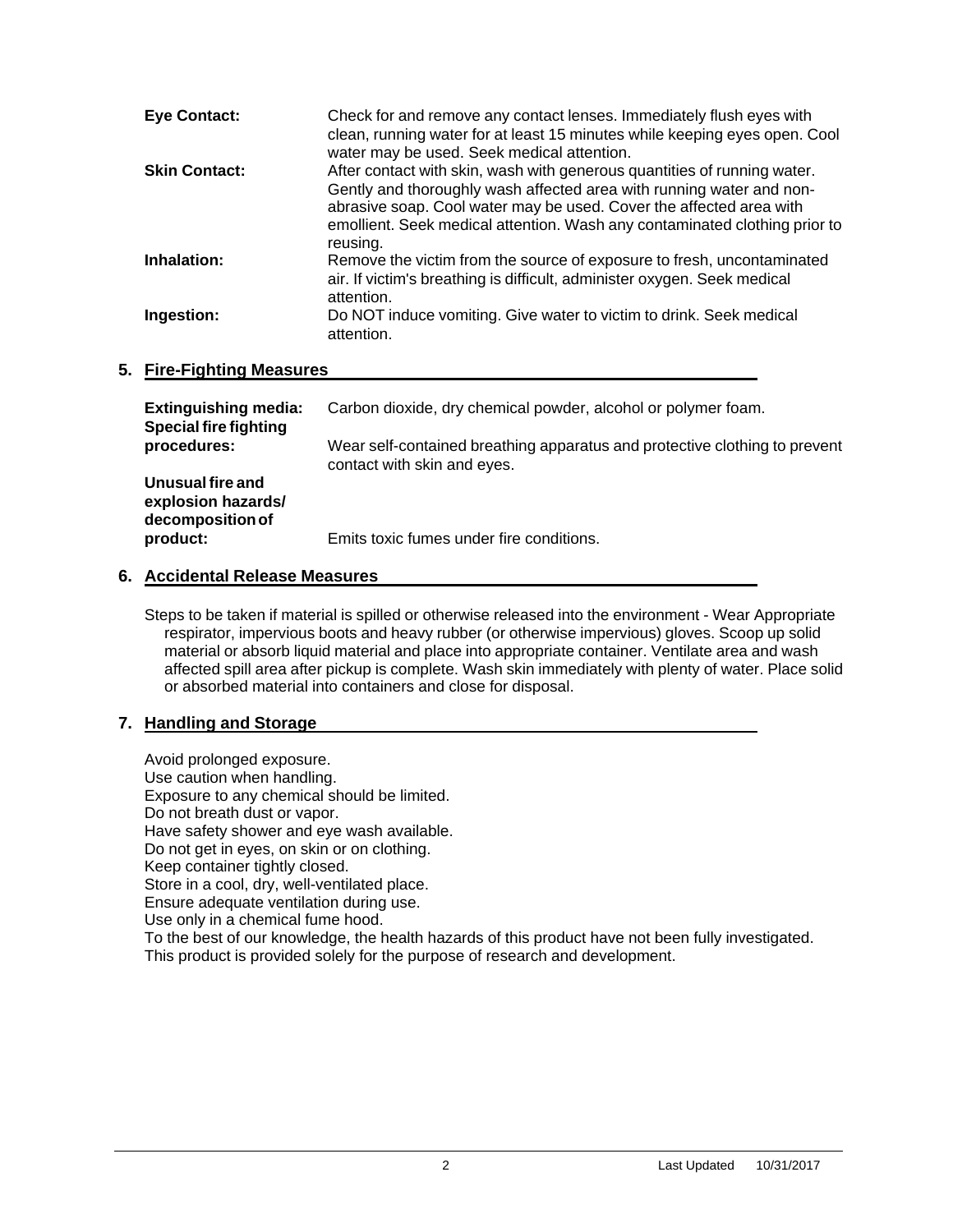| <b>Eye Contact:</b>  | Check for and remove any contact lenses. Immediately flush eyes with<br>clean, running water for at least 15 minutes while keeping eyes open. Cool<br>water may be used. Seek medical attention.                                                                                                                  |
|----------------------|-------------------------------------------------------------------------------------------------------------------------------------------------------------------------------------------------------------------------------------------------------------------------------------------------------------------|
| <b>Skin Contact:</b> | After contact with skin, wash with generous quantities of running water.<br>Gently and thoroughly wash affected area with running water and non-<br>abrasive soap. Cool water may be used. Cover the affected area with<br>emollient. Seek medical attention. Wash any contaminated clothing prior to<br>reusing. |
| Inhalation:          | Remove the victim from the source of exposure to fresh, uncontaminated<br>air. If victim's breathing is difficult, administer oxygen. Seek medical<br>attention.                                                                                                                                                  |
| Ingestion:           | Do NOT induce vomiting. Give water to victim to drink. Seek medical<br>attention.                                                                                                                                                                                                                                 |

# **5. Fire-Fighting Measures**

| <b>Extinguishing media:</b><br><b>Special fire fighting</b> | Carbon dioxide, dry chemical powder, alcohol or polymer foam.                                             |
|-------------------------------------------------------------|-----------------------------------------------------------------------------------------------------------|
| procedures:                                                 | Wear self-contained breathing apparatus and protective clothing to prevent<br>contact with skin and eyes. |
| Unusual fire and<br>explosion hazards/<br>decomposition of  |                                                                                                           |
| product:                                                    | Emits toxic fumes under fire conditions.                                                                  |

# **6. Accidental Release Measures**

Steps to be taken if material is spilled or otherwise released into the environment - Wear Appropriate respirator, impervious boots and heavy rubber (or otherwise impervious) gloves. Scoop up solid material or absorb liquid material and place into appropriate container. Ventilate area and wash affected spill area after pickup is complete. Wash skin immediately with plenty of water. Place solid or absorbed material into containers and close for disposal.

# **7. Handling and Storage**

Avoid prolonged exposure. Use caution when handling. Exposure to any chemical should be limited. Do not breath dust or vapor. Have safety shower and eye wash available. Do not get in eyes, on skin or on clothing. Keep container tightly closed. Store in a cool, dry, well-ventilated place. Ensure adequate ventilation during use. Use only in a chemical fume hood. To the best of our knowledge, the health hazards of this product have not been fully investigated. This product is provided solely for the purpose of research and development.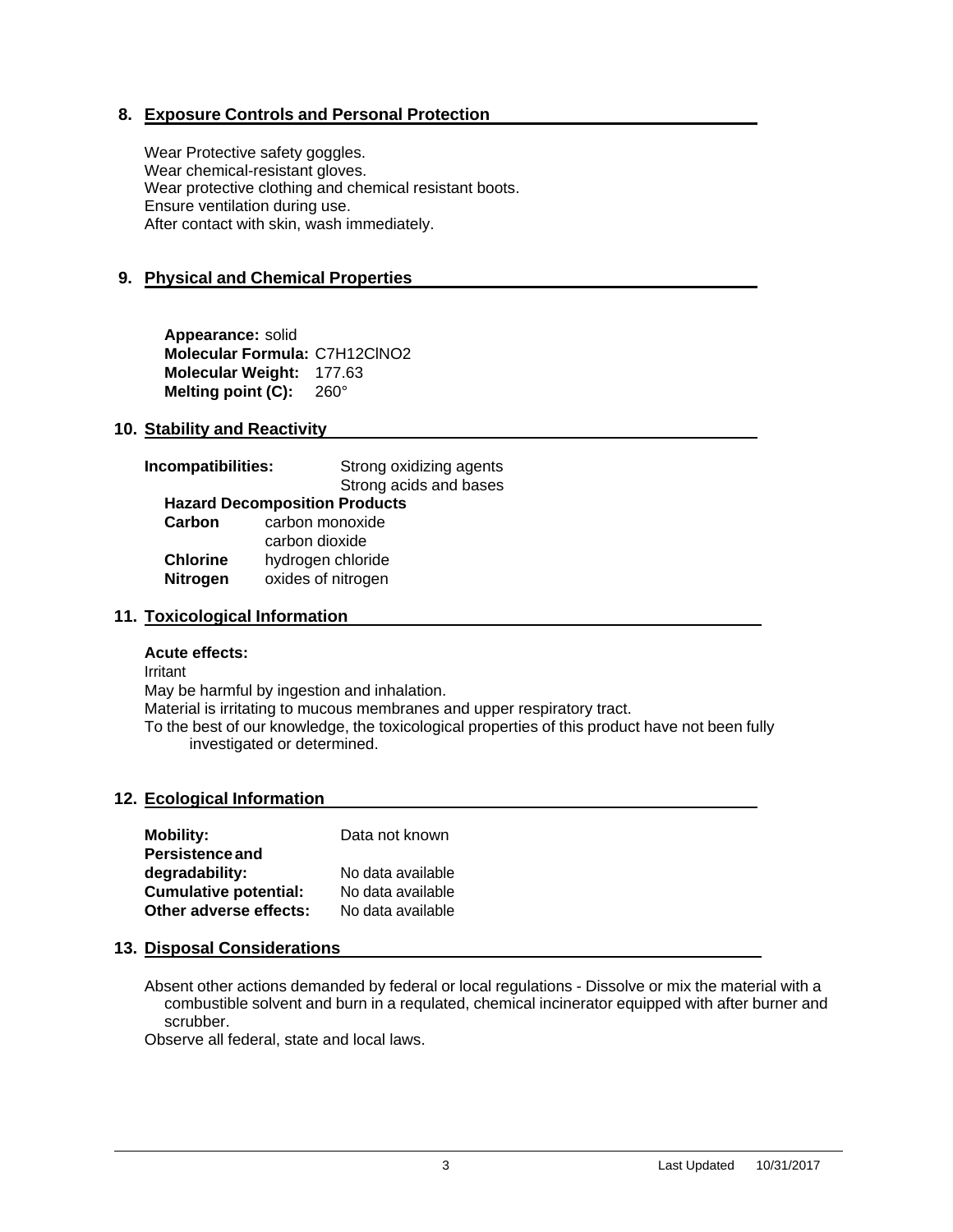# **8. Exposure Controls and Personal Protection**

Wear Protective safety goggles. Wear chemical-resistant gloves. Wear protective clothing and chemical resistant boots. Ensure ventilation during use. After contact with skin, wash immediately.

# **9. Physical and Chemical Properties**

**Appearance:** solid **Molecular Formula:** C7H12ClNO2 **Molecular Weight:** 177.63 **Melting point (C):** 260°

# **10. Stability and Reactivity**

| Incompatibilities: | Strong oxidizing agents              |  |
|--------------------|--------------------------------------|--|
|                    | Strong acids and bases               |  |
|                    | <b>Hazard Decomposition Products</b> |  |
| Carbon             | carbon monoxide                      |  |
|                    | carbon dioxide                       |  |
| <b>Chlorine</b>    | hydrogen chloride                    |  |
| <b>Nitrogen</b>    | oxides of nitrogen                   |  |

# **11. Toxicological Information**

## **Acute effects:**

Irritant

May be harmful by ingestion and inhalation.

Material is irritating to mucous membranes and upper respiratory tract.

To the best of our knowledge, the toxicological properties of this product have not been fully investigated or determined.

## **12. Ecological Information**

| <b>Mobility:</b>             | Data not known    |
|------------------------------|-------------------|
| <b>Persistence and</b>       |                   |
| degradability:               | No data available |
| <b>Cumulative potential:</b> | No data available |
| Other adverse effects:       | No data available |

## **13. Disposal Considerations**

Absent other actions demanded by federal or local regulations - Dissolve or mix the material with a combustible solvent and burn in a requlated, chemical incinerator equipped with after burner and scrubber.

Observe all federal, state and local laws.